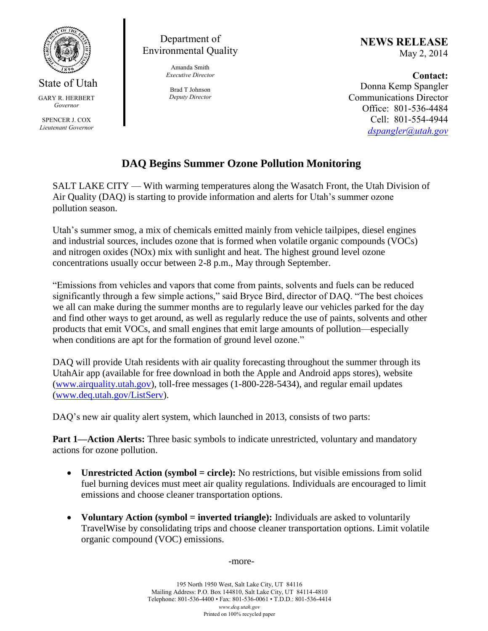

State of Utah

GARY R. HERBERT *Governor*

SPENCER J. COX *Lieutenant Governor*

Department of Environmental Quality

> Amanda Smith *Executive Director*

Brad T Johnson *Deputy Director* **NEWS RELEASE** May 2, 2014

**Contact:** Donna Kemp Spangler Communications Director Office: 801-536-4484 Cell: 801-554-4944

*dspangler@utah.gov*

## **DAQ Begins Summer Ozone Pollution Monitoring**

SALT LAKE CITY — With warming temperatures along the Wasatch Front, the Utah Division of Air Quality (DAQ) is starting to provide information and alerts for Utah's summer ozone pollution season.

Utah's summer smog, a mix of chemicals emitted mainly from vehicle tailpipes, diesel engines and industrial sources, includes ozone that is formed when volatile organic compounds (VOCs) and nitrogen oxides (NOx) mix with sunlight and heat. The highest ground level ozone concentrations usually occur between 2-8 p.m., May through September.

"Emissions from vehicles and vapors that come from paints, solvents and fuels can be reduced significantly through a few simple actions," said Bryce Bird, director of DAQ. "The best choices we all can make during the summer months are to regularly leave our vehicles parked for the day and find other ways to get around, as well as regularly reduce the use of paints, solvents and other products that emit VOCs, and small engines that emit large amounts of pollution—especially when conditions are apt for the formation of ground level ozone."

DAQ will provide Utah residents with air quality forecasting throughout the summer through its UtahAir app (available for free download in both the Apple and Android apps stores), website (www.airquality.utah.gov), toll-free messages (1-800-228-5434), and regular email updates (www.deq.utah.gov/ListServ).

DAQ's new air quality alert system, which launched in 2013, consists of two parts:

**Part 1—Action Alerts:** Three basic symbols to indicate unrestricted, voluntary and mandatory actions for ozone pollution.

- Unrestricted Action (symbol = circle): No restrictions, but visible emissions from solid fuel burning devices must meet air quality regulations. Individuals are encouraged to limit emissions and choose cleaner transportation options.
- **Voluntary Action (symbol = inverted triangle):** Individuals are asked to voluntarily TravelWise by consolidating trips and choose cleaner transportation options. Limit volatile organic compound (VOC) emissions.

-more-